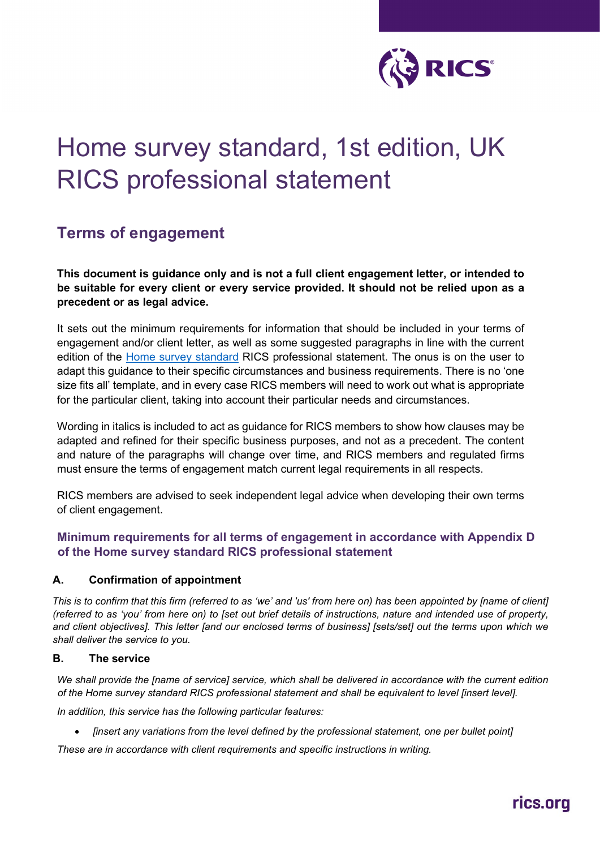

# Home survey standard, 1st edition, UK RICS professional statement

# **Terms of engagement**

**This document is guidance only and is not a full client engagement letter, or intended to be suitable for every client or every service provided. It should not be relied upon as a precedent or as legal advice.** 

It sets out the minimum requirements for information that should be included in your terms of engagement and/or client letter, as well as some suggested paragraphs in line with the current edition of the [Home survey standard](https://www.rics.org/uk/upholding-professional-standards/sector-standards/building-surveying/home-surveys/home-survey-standards/) RICS professional statement. The onus is on the user to adapt this guidance to their specific circumstances and business requirements. There is no 'one size fits all' template, and in every case RICS members will need to work out what is appropriate for the particular client, taking into account their particular needs and circumstances.

Wording in italics is included to act as guidance for RICS members to show how clauses may be adapted and refined for their specific business purposes, and not as a precedent. The content and nature of the paragraphs will change over time, and RICS members and regulated firms must ensure the terms of engagement match current legal requirements in all respects.

RICS members are advised to seek independent legal advice when developing their own terms of client engagement.

# **Minimum requirements for all terms of engagement in accordance with Appendix D of the Home survey standard RICS professional statement**

#### **A. Confirmation of appointment**

*This is to confirm that this firm (referred to as 'we' and 'us' from here on) has been appointed by [name of client] (referred to as 'you' from here on) to [set out brief details of instructions, nature and intended use of property, and client objectives]. This letter [and our enclosed terms of business] [sets/set] out the terms upon which we shall deliver the service to you.* 

#### **B. The service**

*We shall provide the [name of service] service, which shall be delivered in accordance with the current edition of the Home survey standard RICS professional statement and shall be equivalent to level [insert level].* 

*In addition, this service has the following particular features:* 

• *[insert any variations from the level defined by the professional statement, one per bullet point]* 

*These are in accordance with client requirements and specific instructions in writing.*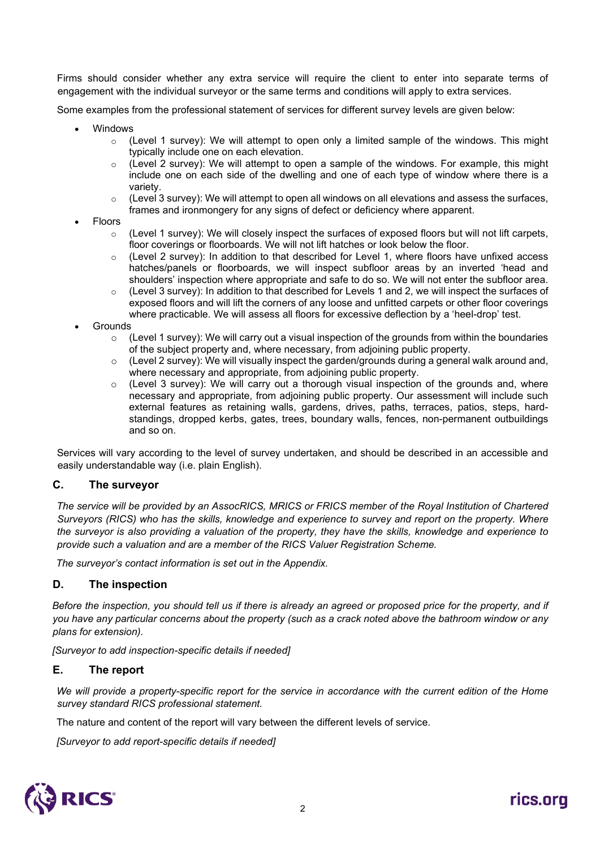Firms should consider whether any extra service will require the client to enter into separate terms of engagement with the individual surveyor or the same terms and conditions will apply to extra services.

Some examples from the professional statement of services for different survey levels are given below:

- **Windows** 
	- $\circ$  (Level 1 survey): We will attempt to open only a limited sample of the windows. This might typically include one on each elevation.
	- (Level 2 survey): We will attempt to open a sample of the windows. For example, this might include one on each side of the dwelling and one of each type of window where there is a variety.
	- $\circ$  (Level 3 survey): We will attempt to open all windows on all elevations and assess the surfaces, frames and ironmongery for any signs of defect or deficiency where apparent.
- Floors
	- $\circ$  (Level 1 survey): We will closely inspect the surfaces of exposed floors but will not lift carpets, floor coverings or floorboards. We will not lift hatches or look below the floor.
	- (Level 2 survey): In addition to that described for Level 1, where floors have unfixed access hatches/panels or floorboards, we will inspect subfloor areas by an inverted 'head and shoulders' inspection where appropriate and safe to do so. We will not enter the subfloor area.
	- $\circ$  (Level 3 survey): In addition to that described for Levels 1 and 2, we will inspect the surfaces of exposed floors and will lift the corners of any loose and unfitted carpets or other floor coverings where practicable. We will assess all floors for excessive deflection by a 'heel-drop' test.
- **Grounds** 
	- $\circ$  (Level 1 survey): We will carry out a visual inspection of the grounds from within the boundaries of the subject property and, where necessary, from adjoining public property.
	- $\circ$  (Level 2 survey): We will visually inspect the garden/grounds during a general walk around and, where necessary and appropriate, from adjoining public property.
	- $\circ$  (Level 3 survey): We will carry out a thorough visual inspection of the grounds and, where necessary and appropriate, from adjoining public property. Our assessment will include such external features as retaining walls, gardens, drives, paths, terraces, patios, steps, hardstandings, dropped kerbs, gates, trees, boundary walls, fences, non-permanent outbuildings and so on.

Services will vary according to the level of survey undertaken, and should be described in an accessible and easily understandable way (i.e. plain English).

#### **C. The surveyor**

*The service will be provided by an AssocRICS, MRICS or FRICS member of the Royal Institution of Chartered Surveyors (RICS) who has the skills, knowledge and experience to survey and report on the property. Where the surveyor is also providing a valuation of the property, they have the skills, knowledge and experience to provide such a valuation and are a member of the RICS Valuer Registration Scheme.* 

*The surveyor's contact information is set out in the Appendix.*

#### **D. The inspection**

*Before the inspection, you should tell us if there is already an agreed or proposed price for the property, and if you have any particular concerns about the property (such as a crack noted above the bathroom window or any plans for extension).* 

*[Surveyor to add inspection-specific details if needed]*

#### **E. The report**

*We will provide a property-specific report for the service in accordance with the current edition of the Home survey standard RICS professional statement.*

The nature and content of the report will vary between the different levels of service.

*[Surveyor to add report-specific details if needed]*

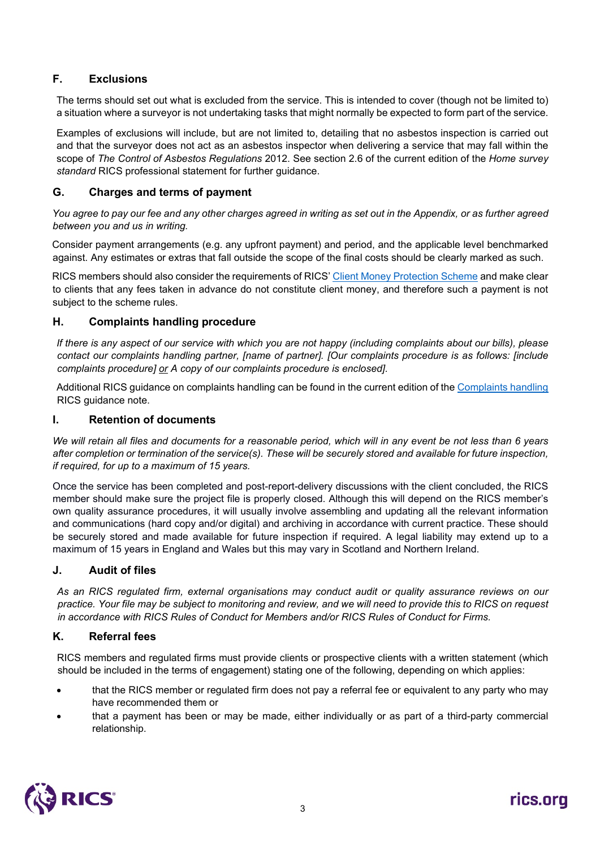# **F. Exclusions**

The terms should set out what is excluded from the service. This is intended to cover (though not be limited to) a situation where a surveyor is not undertaking tasks that might normally be expected to form part of the service.

Examples of exclusions will include, but are not limited to, detailing that no asbestos inspection is carried out and that the surveyor does not act as an asbestos inspector when delivering a service that may fall within the scope of *The Control of Asbestos Regulations* 2012. See section 2.6 of the current edition of the *Home survey standard* RICS professional statement for further guidance.

#### **G. Charges and terms of payment**

*You agree to pay our fee and any other charges agreed in writing as set out in the Appendix, or as further agreed between you and us in writing.* 

Consider payment arrangements (e.g. any upfront payment) and period, and the applicable level benchmarked against. Any estimates or extras that fall outside the scope of the final costs should be clearly marked as such.

RICS members should also consider the requirements of RICS' [Client Money Protection Scheme](https://www.rics.org/uk/upholding-professional-standards/standards-of-conduct/client-money/cmp-scheme/) and make clear to clients that any fees taken in advance do not constitute client money, and therefore such a payment is not subject to the scheme rules.

## **H. Complaints handling procedure**

*If there is any aspect of our service with which you are not happy (including complaints about our bills), please contact our complaints handling partner, [name of partner]. [Our complaints procedure is as follows: [include complaints procedure] or A copy of our complaints procedure is enclosed].*

Additional RICS guidance on complaints handling can be found in the current edition of the [Complaints handling](https://www.rics.org/uk/upholding-professional-standards/sector-standards/valuation/complaints-handling-1st-edition/) RICS guidance note.

## **I. Retention of documents**

*We will retain all files and documents for a reasonable period, which will in any event be not less than 6 years after completion or termination of the service(s). These will be securely stored and available for future inspection, if required, for up to a maximum of 15 years.* 

Once the service has been completed and post-report-delivery discussions with the client concluded, the RICS member should make sure the project file is properly closed. Although this will depend on the RICS member's own quality assurance procedures, it will usually involve assembling and updating all the relevant information and communications (hard copy and/or digital) and archiving in accordance with current practice. These should be securely stored and made available for future inspection if required. A legal liability may extend up to a maximum of 15 years in England and Wales but this may vary in Scotland and Northern Ireland.

#### **J. Audit of files**

*As an RICS regulated firm, external organisations may conduct audit or quality assurance reviews on our practice. Your file may be subject to monitoring and review, and we will need to provide this to RICS on request in accordance with RICS Rules of Conduct for Members and/or RICS Rules of Conduct for Firms.*

#### **K. Referral fees**

RICS members and regulated firms must provide clients or prospective clients with a written statement (which should be included in the terms of engagement) stating one of the following, depending on which applies:

- that the RICS member or regulated firm does not pay a referral fee or equivalent to any party who may have recommended them or
- that a payment has been or may be made, either individually or as part of a third-party commercial relationship.

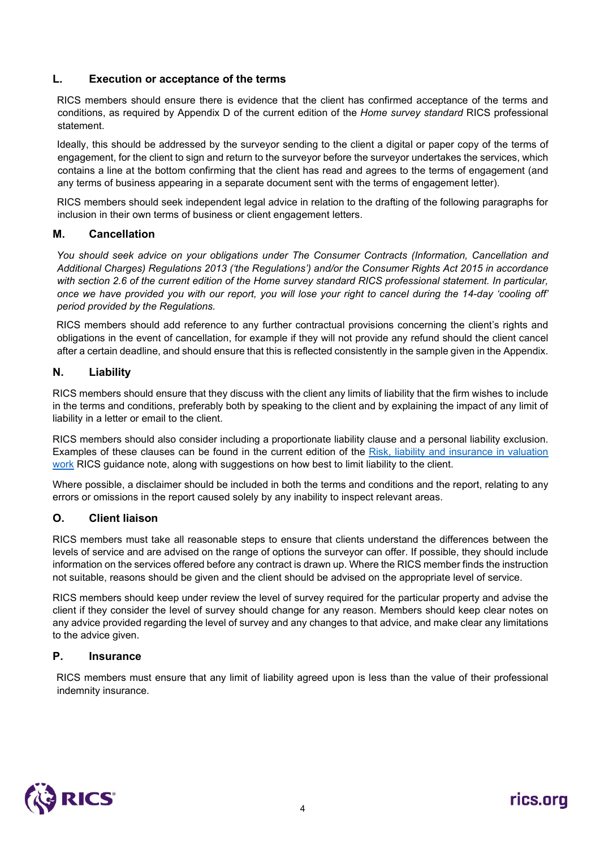#### **L. Execution or acceptance of the terms**

RICS members should ensure there is evidence that the client has confirmed acceptance of the terms and conditions, as required by Appendix D of the current edition of the *Home survey standard* RICS professional statement.

Ideally, this should be addressed by the surveyor sending to the client a digital or paper copy of the terms of engagement, for the client to sign and return to the surveyor before the surveyor undertakes the services, which contains a line at the bottom confirming that the client has read and agrees to the terms of engagement (and any terms of business appearing in a separate document sent with the terms of engagement letter).

RICS members should seek independent legal advice in relation to the drafting of the following paragraphs for inclusion in their own terms of business or client engagement letters.

#### **M. Cancellation**

*You should seek advice on your obligations under The Consumer Contracts (Information, Cancellation and Additional Charges) Regulations 2013 ('the Regulations') and/or the Consumer Rights Act 2015 in accordance with section 2.6 of the current edition of the Home survey standard RICS professional statement. In particular, once we have provided you with our report, you will lose your right to cancel during the 14-day 'cooling off' period provided by the Regulations.* 

RICS members should add reference to any further contractual provisions concerning the client's rights and obligations in the event of cancellation, for example if they will not provide any refund should the client cancel after a certain deadline, and should ensure that this is reflected consistently in the sample given in the Appendix.

#### **N. Liability**

RICS members should ensure that they discuss with the client any limits of liability that the firm wishes to include in the terms and conditions, preferably both by speaking to the client and by explaining the impact of any limit of liability in a letter or email to the client.

RICS members should also consider including a proportionate liability clause and a personal liability exclusion. Examples of these clauses can be found in the current edition of the Risk, liability and insurance in valuation [work](https://www.rics.org/uk/upholding-professional-standards/sector-standards/valuation/risk-liability-and-insurance-in-valuation-work/) RICS guidance note, along with suggestions on how best to limit liability to the client.

Where possible, a disclaimer should be included in both the terms and conditions and the report, relating to any errors or omissions in the report caused solely by any inability to inspect relevant areas.

#### **O. Client liaison**

RICS members must take all reasonable steps to ensure that clients understand the differences between the levels of service and are advised on the range of options the surveyor can offer. If possible, they should include information on the services offered before any contract is drawn up. Where the RICS member finds the instruction not suitable, reasons should be given and the client should be advised on the appropriate level of service.

RICS members should keep under review the level of survey required for the particular property and advise the client if they consider the level of survey should change for any reason. Members should keep clear notes on any advice provided regarding the level of survey and any changes to that advice, and make clear any limitations to the advice given.

#### **P. Insurance**

RICS members must ensure that any limit of liability agreed upon is less than the value of their professional indemnity insurance.

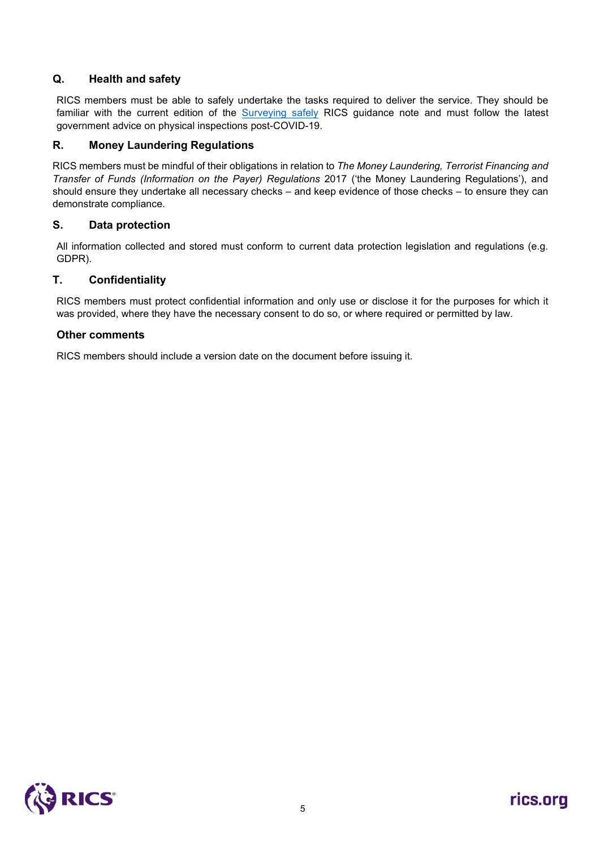# **Q. Health and safety**

RICS members must be able to safely undertake the tasks required to deliver the service. They should be familiar with the current edition of the [Surveying safely](https://www.rics.org/uk/upholding-professional-standards/sector-standards/building-control/surveying-safely/) RICS guidance note and must follow the latest government advice on physical inspections post-COVID-19.

## **R. Money Laundering Regulations**

RICS members must be mindful of their obligations in relation to *The Money Laundering, Terrorist Financing and Transfer of Funds (Information on the Payer) Regulations* 2017 ('the Money Laundering Regulations'), and should ensure they undertake all necessary checks – and keep evidence of those checks – to ensure they can demonstrate compliance.

#### **S. Data protection**

All information collected and stored must conform to current data protection legislation and regulations (e.g. GDPR).

#### **T. Confidentiality**

RICS members must protect confidential information and only use or disclose it for the purposes for which it was provided, where they have the necessary consent to do so, or where required or permitted by law.

#### **Other comments**

RICS members should include a version date on the document before issuing it.

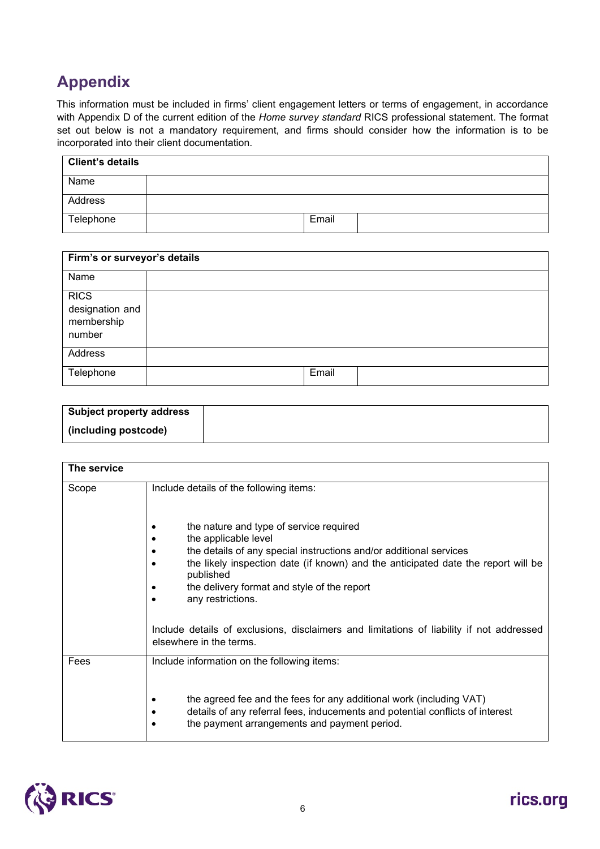# **Appendix**

This information must be included in firms' client engagement letters or terms of engagement, in accordance with Appendix D of the current edition of the *Home survey standard* RICS professional statement. The format set out below is not a mandatory requirement, and firms should consider how the information is to be incorporated into their client documentation.

| <b>Client's details</b> |       |  |
|-------------------------|-------|--|
| Name                    |       |  |
| Address                 |       |  |
| Telephone               | Email |  |

| Firm's or surveyor's details                           |       |  |
|--------------------------------------------------------|-------|--|
| Name                                                   |       |  |
| <b>RICS</b><br>designation and<br>membership<br>number |       |  |
| Address                                                |       |  |
| Telephone                                              | Email |  |

| <b>Subject property address</b> |  |
|---------------------------------|--|
| (including postcode)            |  |

| The service |                                                                                                                                                                                                                                                                                                                                                        |
|-------------|--------------------------------------------------------------------------------------------------------------------------------------------------------------------------------------------------------------------------------------------------------------------------------------------------------------------------------------------------------|
| Scope       | Include details of the following items:<br>the nature and type of service required<br>the applicable level<br>the details of any special instructions and/or additional services<br>the likely inspection date (if known) and the anticipated date the report will be<br>published<br>the delivery format and style of the report<br>any restrictions. |
|             | Include details of exclusions, disclaimers and limitations of liability if not addressed<br>elsewhere in the terms.                                                                                                                                                                                                                                    |
| Fees        | Include information on the following items:<br>the agreed fee and the fees for any additional work (including VAT)<br>details of any referral fees, inducements and potential conflicts of interest<br>the payment arrangements and payment period.                                                                                                    |